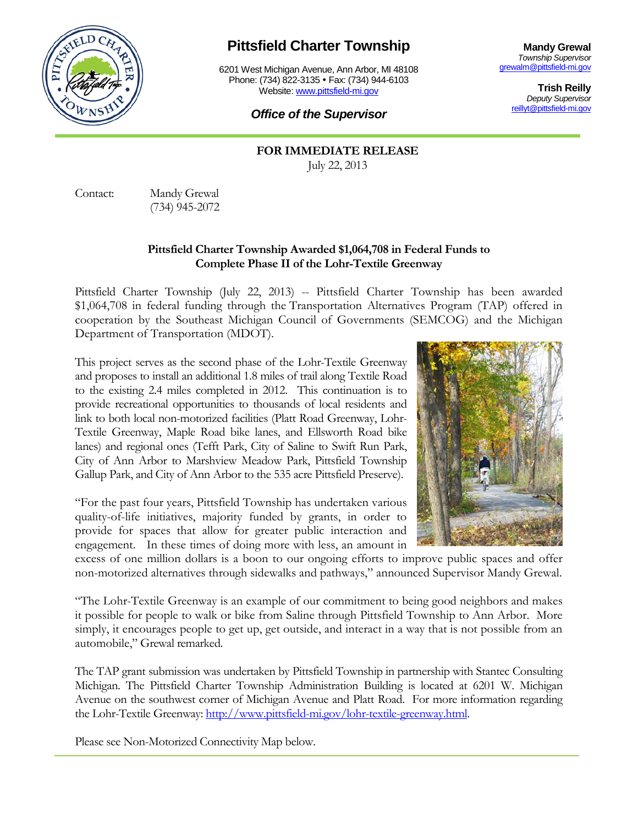

## **Pittsfield Charter Township**

6201 West Michigan Avenue, Ann Arbor, MI 48108 Phone: (734) 822-3135 • Fax: (734) 944-6103 Website: [www.pittsfield-mi.gov](http://www.pittsfield-mi.gov/)

**Mandy Grewal** *Township Supervisor* [grewalm@pittsfield-mi.gov](mailto:grewalm@pittsfield-mi.gov)

> **Trish Reilly** *Deputy Supervisor* [reillyt@pittsfield-mi.gov](mailto:reillyt@pittsfield-mi.gov)

## *Office of the Supervisor*

**FOR IMMEDIATE RELEASE** July 22, 2013

Contact: Mandy Grewal (734) 945-2072

## **Pittsfield Charter Township Awarded \$1,064,708 in Federal Funds to Complete Phase II of the Lohr-Textile Greenway**

Pittsfield Charter Township (July 22, 2013) -- Pittsfield Charter Township has been awarded \$1,064,708 in federal funding through the Transportation Alternatives Program (TAP) offered in cooperation by the Southeast Michigan Council of Governments (SEMCOG) and the Michigan Department of Transportation (MDOT).

This project serves as the second phase of the Lohr-Textile Greenway and proposes to install an additional 1.8 miles of trail along Textile Road to the existing 2.4 miles completed in 2012. This continuation is to provide recreational opportunities to thousands of local residents and link to both local non-motorized facilities (Platt Road Greenway, Lohr-Textile Greenway, Maple Road bike lanes, and Ellsworth Road bike lanes) and regional ones (Tefft Park, City of Saline to Swift Run Park, City of Ann Arbor to Marshview Meadow Park, Pittsfield Township Gallup Park, and City of Ann Arbor to the 535 acre Pittsfield Preserve).

"For the past four years, Pittsfield Township has undertaken various quality-of-life initiatives, majority funded by grants, in order to provide for spaces that allow for greater public interaction and engagement. In these times of doing more with less, an amount in



excess of one million dollars is a boon to our ongoing efforts to improve public spaces and offer non-motorized alternatives through sidewalks and pathways," announced Supervisor Mandy Grewal.

"The Lohr-Textile Greenway is an example of our commitment to being good neighbors and makes it possible for people to walk or bike from Saline through Pittsfield Township to Ann Arbor. More simply, it encourages people to get up, get outside, and interact in a way that is not possible from an automobile," Grewal remarked.

The TAP grant submission was undertaken by Pittsfield Township in partnership with Stantec Consulting Michigan. The Pittsfield Charter Township Administration Building is located at 6201 W. Michigan Avenue on the southwest corner of Michigan Avenue and Platt Road. For more information regarding the Lohr-Textile Greenway[: http://www.pittsfield-mi.gov/lohr-textile-greenway.html.](http://www.pittsfield-mi.gov/lohr-textile-greenway.html) 

Please see Non-Motorized Connectivity Map below.